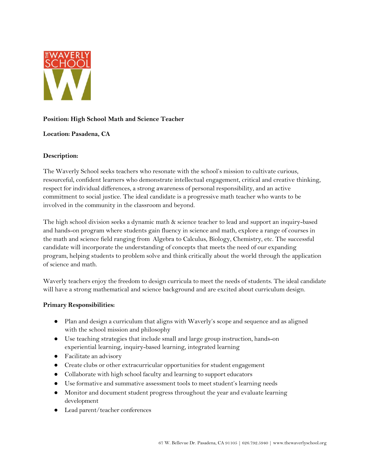

# **Position: High School Math and Science Teacher**

## **Location: Pasadena, CA**

## **Description:**

The Waverly School seeks teachers who resonate with the school's mission to cultivate curious, resourceful, confident learners who demonstrate intellectual engagement, critical and creative thinking, respect for individual differences, a strong awareness of personal responsibility, and an active commitment to social justice. The ideal candidate is a progressive math teacher who wants to be involved in the community in the classroom and beyond.

The high school division seeks a dynamic math & science teacher to lead and support an inquiry-based and hands-on program where students gain fluency in science and math, explore a range of courses in the math and science field ranging from Algebra to Calculus, Biology, Chemistry, etc. The successful candidate will incorporate the understanding of concepts that meets the need of our expanding program, helping students to problem solve and think critically about the world through the application of science and math.

Waverly teachers enjoy the freedom to design curricula to meet the needs of students. The ideal candidate will have a strong mathematical and science background and are excited about curriculum design.

## **Primary Responsibilities:**

- Plan and design a curriculum that aligns with Waverly's scope and sequence and as aligned with the school mission and philosophy
- Use teaching strategies that include small and large group instruction, hands-on experiential learning, inquiry-based learning, integrated learning
- Facilitate an advisory
- Create clubs or other extracurricular opportunities for student engagement
- Collaborate with high school faculty and learning to support educators
- Use formative and summative assessment tools to meet student's learning needs
- Monitor and document student progress throughout the year and evaluate learning development
- Lead parent/teacher conferences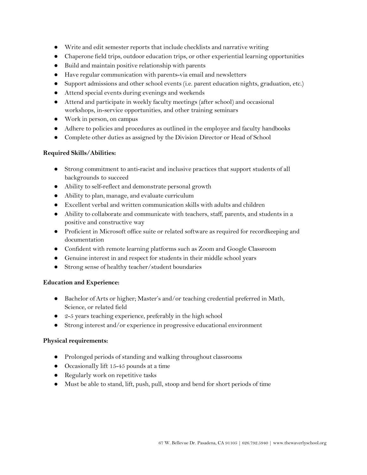- Write and edit semester reports that include checklists and narrative writing
- Chaperone field trips, outdoor education trips, or other experiential learning opportunities
- Build and maintain positive relationship with parents
- Have regular communication with parents-via email and newsletters
- Support admissions and other school events (i.e. parent education nights, graduation, etc.)
- Attend special events during evenings and weekends
- Attend and participate in weekly faculty meetings (after school) and occasional workshops, in-service opportunities, and other training seminars
- Work in person, on campus
- Adhere to policies and procedures as outlined in the employee and faculty handbooks
- Complete other duties as assigned by the Division Director or Head of School

# **Required Skills/Abilities:**

- Strong commitment to anti-racist and inclusive practices that support students of all backgrounds to succeed
- Ability to self-reflect and demonstrate personal growth
- Ability to plan, manage, and evaluate curriculum
- Excellent verbal and written communication skills with adults and children
- Ability to collaborate and communicate with teachers, staff, parents, and students in a positive and constructive way
- Proficient in Microsoft office suite or related software as required for recordkeeping and documentation
- Confident with remote learning platforms such as Zoom and Google Classroom
- Genuine interest in and respect for students in their middle school years
- Strong sense of healthy teacher/student boundaries

## **Education and Experience:**

- Bachelor of Arts or higher; Master's and/or teaching credential preferred in Math, Science, or related field
- $\bullet$  2-5 years teaching experience, preferably in the high school
- Strong interest and/or experience in progressive educational environment

## **Physical requirements:**

- Prolonged periods of standing and walking throughout classrooms
- Occasionally lift 15-45 pounds at a time
- Regularly work on repetitive tasks
- Must be able to stand, lift, push, pull, stoop and bend for short periods of time